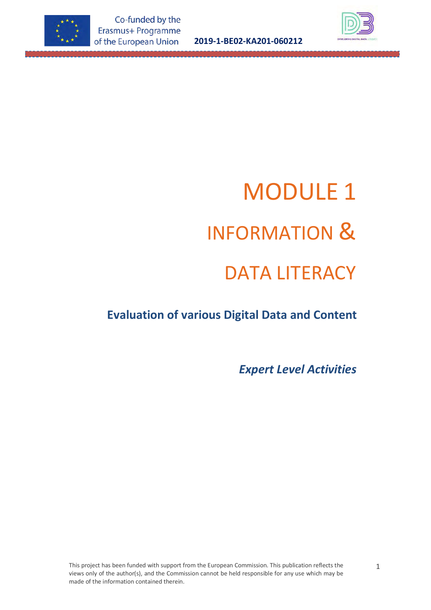

**2019-1-BE02-KA201-060212**



# MODULE 1 INFORMATION & DATA LITERACY

## **Evaluation of various Digital Data and Content**

*Expert Level Activities*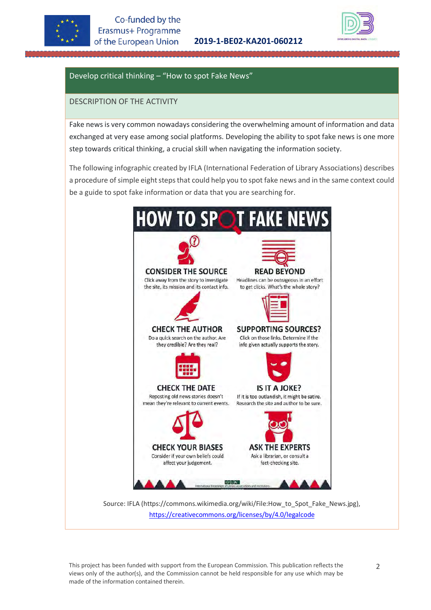



#### Develop critical thinking – "How to spot Fake News"

#### DESCRIPTION OF THE ACTIVITY

Fake news is very common nowadays considering the overwhelming amount of information and data exchanged at very ease among social platforms. Developing the ability to spot fake news is one more step towards critical thinking, a crucial skill when navigating the information society.

The following infographic created by IFLA (International Federation of Library Associations) describes a procedure of simple eight steps that could help you to spot fake news and in the same context could be a guide to spot fake information or data that you are searching for.



<https://creativecommons.org/licenses/by/4.0/legalcode>

This project has been funded with support from the European Commission. This publication reflects the views only of the author(s), and the Commission cannot be held responsible for any use which may be made of the information contained therein.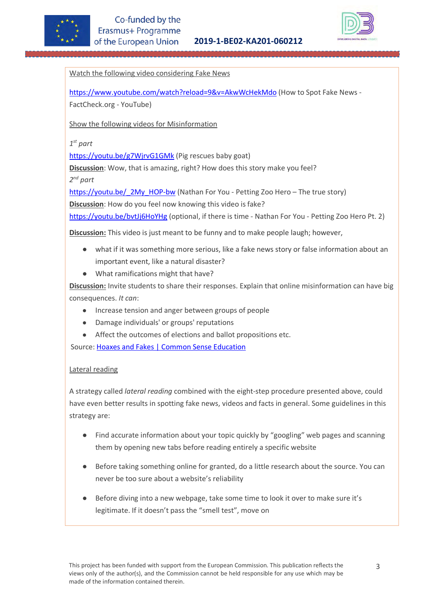



Watch the following video considering Fake News

<https://www.youtube.com/watch?reload=9&v=AkwWcHekMdo> (How to Spot Fake News - FactCheck.org - YouTube)

Show the following videos for Misinformation

*1st part*

<https://youtu.be/g7WjrvG1GMk> (Pig rescues baby goat)

**Discussion**: Wow, that is amazing, right? How does this story make you feel?

*2nd part*

https://youtu.be/ 2My HOP-bw (Nathan For You - Petting Zoo Hero – The true story) **Discussion**: How do you feel now knowing this video is fake?

<https://youtu.be/bvtJj6HoYHg> (optional, if there is time - Nathan For You - Petting Zoo Hero Pt. 2)

**Discussion:** This video is just meant to be funny and to make people laugh; however,

- what if it was something more serious, like a fake news story or false information about an important event, like a natural disaster?
- What ramifications might that have?

**Discussion:** Invite students to share their responses. Explain that online misinformation can have big consequences. *It can*:

- Increase tension and anger between groups of people
- Damage individuals' or groups' reputations
- Affect the outcomes of elections and ballot propositions etc.

Source[: Hoaxes and Fakes | Common Sense Education](https://www.commonsense.org/education/digital-citizenship/lesson/hoaxes-and-fakes) 

#### Lateral reading

A strategy called *lateral reading* combined with the eight-step procedure presented above, could have even better results in spotting fake news, videos and facts in general. Some guidelines in this strategy are:

- Find accurate information about your topic quickly by "googling" web pages and scanning them by opening new tabs before reading entirely a specific website
- Before taking something online for granted, do a little research about the source. You can never be too sure about a website's reliability
- Before diving into a new webpage, take some time to look it over to make sure it's legitimate. If it doesn't pass the "smell test", move on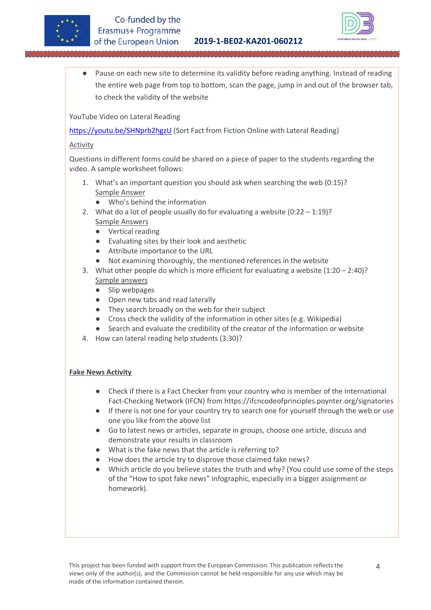



Pause on each new site to determine its validity before reading anything. Instead of reading the entire web page from top to bottom, scan the page, jump in and out of the browser tab, to check the validity of the website

YouTube Video on Lateral Reading

<https://youtu.be/SHNprb2hgzU> (Sort Fact from Fiction Online with Lateral Reading)

#### Activity

Questions in different forms could be shared on a piece of paper to the students regarding the video. A sample worksheet follows:

- 1. What's an important question you should ask when searching the web (0:15)? Sample Answer
	- Who's behind the information
- 2. What do a lot of people usually do for evaluating a website (0:22 1:19)? Sample Answers
	- Vertical reading
	- Evaluating sites by their look and aesthetic
	- Attribute importance to the URL
	- Not examining thoroughly, the mentioned references in the website
- 3. What other people do which is more efficient for evaluating a website  $(1:20 2:40)$ ? Sample answers
	- Slip webpages
	- Open new tabs and read laterally
	- They search broadly on the web for their subject
	- Cross check the validity of the information in other sites (e.g. Wikipedia)
	- Search and evaluate the credibility of the creator of the information or website
- 4. How can lateral reading help students (3:30)?

#### **Fake News Activity**

- Check if there is a Fact Checker from your country who is member of the International Fact-Checking Network (IFCN) from<https://ifcncodeofprinciples.poynter.org/signatories>
- If there is not one for your country try to search one for yourself through the web or use one you like from the above list
- Go to latest news or articles, separate in groups, choose one article, discuss and demonstrate your results in classroom
- What is the fake news that the article is referring to?
- How does the article try to disprove those claimed fake news?
- Which article do you believe states the truth and why? (You could use some of the steps of the "How to spot fake news" infographic, especially in a bigger assignment or homework).